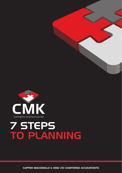

## 7 STEPS TO PLANNING

CAPPER MACDONALD & KING LTD CHARTERED ACCOUNTANTS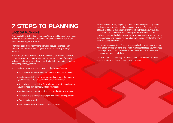## 7 STEPS TO PLANNING

### LACK OF PLANNING

As a result of the distribution of our book "Grow Your Numbers" over recent weeks we have met with a number of Farmers ranging from new to the industry to owning several farms.

There has been a constant theme from our discussions that clearly identifies that there is a need for greater focus on planning amongst farmers.

While many farmers do have a plan in the back of their minds, these are not written down or communicated with all parties involved. Generally, as busy people, farmers are heavily involved with the operational matters concerning running the farm.

In not having a plan we expose ourselves to the following issues:

- Not having all parties aligned and moving in the same direction.
- Frustrations with the lack of communication around the future of your business. This is a common theme in succession.
- Not having a document to refer to when making other decisions in your business that ultimately affects your goals.
- Most decisions on farm therefore become short term solutions.
- Lose the ability to make any changes within your farming system.
- Poor financial reward.
- Lack of short, medium and long term satisfaction.

You wouldn't dream of just getting in the car and driving aimlessly around. You have a route or a plan of where you are going and if you encounter an obstacle or accident along the way then you simply adjust your route and head in a different direction, but still with your end destination in mind. Having a business plan is like having a map, a route to where you want your business to go. One you can follow and one you can adjust along the way in order to get to your destination.

The planning process doesn't need to be complicated and indeed is better when things are broken down into simple manageable steps. Your business plan will provide you with clarity about your future and the future of your business that most people lack.

There are 7 steps to creating a business plan that will set your business apart and let you achieve success in your business.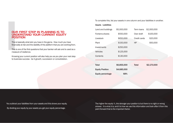## **OUF**<br> **UNE**<br> **POS**<br>
This is<br>
financ<br>
This is<br>
meas<br>
Knowi OUR FIRST STEP IN PLANNING IS TO UNDERSTAND YOUR CURRENT EQUITY **POSITION**

This is basically what skin you have in the game. How much you have financially at risk and the stability of the platform that you are working from.

This is one of the first questions that your banker will ask and is used as a measure of resilience.

Knowing your current position will also help you as you plan your next step to business success - be it growth, succession or consolidation.

To complete this, list your assets in one column and your liabilities in another.

### Assets Liabilities

| \$5,000,000 | Term loans   | \$2,000,000 |
|-------------|--------------|-------------|
| \$550,000   | Over draft   | \$100,000   |
| \$650,000   | Credit cards | \$20,000    |
| \$150,000   | HP           | \$50,000    |
| \$250,000   |              |             |
| \$125,000   |              |             |
| \$130,000   |              |             |
|             |              |             |
| \$6,855,000 | Total        | \$2,170,000 |
| \$4,685,000 |              |             |
| 68%         |              |             |
|             |              |             |

You subtract your liabilities from your assets and this shows your equity. By dividing your equity by your assets you get your equity percentage.

The higher the equity %, the stronger your position is but there is no right or wrong answer. It is what it is, and it is how we use this information and look after it from this point forward that is the important factor.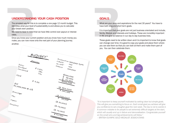### UNDERSTANDING YOUR CASH POSITION

**UNDERSTANDIN**<br>The simplest way for this<br>identifies what your level<br>your break even position<br>We need to bear in mind<br>rates.<br>Once you know your curr<br>make, you can now move<br>another. The simplest way for this is to complete a one page 12 month budget. This identifies what your level of sustainability is and allows you to calculate your break even position.

We need to bear in mind that we have little control over payout or interest rates.

Once you know your current position and you know how much money you make, you can now move onto the next part of your planning journey. another.



### GOALS

What are your aims and aspirations for the next 30 years? You have to have both long and short term goals.

**GOALS**<br>What are your aims are<br>have both long and sh<br>It is important that you<br>family, lifestyle and int<br>in life and give us bala<br>These goals need to b<br>can change over time. It is important that your goals are not just business orientated and include, family, lifestyle and interests and holidays. These are incredibly important in life and give us balance in our day to day business lives.

These goals need to be written down and it is important to know that goals can change over time. It is good to copy your goals and place them where you can see them so that you can look at them and make them part of you. You can then celebrate them.



*"It is important to keep yourself motivated by setting clear but simple goals. This will give you something to focus on. Each small goal you achieve will give you confidence to set a tougher goal the next week. The key is not to overdo it. A common mistake is for people to set extremely difficult targets at the start, which will usually end up in failure and demoralisation. Congratulate yourself on the small wins and big achievements will follow."*

– BRITISH OLYMPIC GOLD MEDALIST JESSICA ENNIS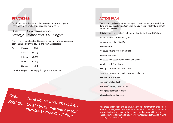### STRATEGIES:

Simply put, this is the method that you set to achieve your goals. These need to be clarified and based on real facts i.e.

# **STRATEGIES:**<br>
Simply put, this is the metho<br>
These need to be clarified and<br> **Goal:** To increent Strategy: Reduce<br>
This has to be calculated and<br>
position aligned with the pay *Goal: To increase equity. Strategy: Reduce debt @ \$1 a KgMs*

This has to be calculated and involves understanding your break even position aligned with the pay out and your interest rates.

| Eg: | Pay Out        | 5.50   |  |
|-----|----------------|--------|--|
|     | <b>FWE</b>     | (3.00) |  |
|     | Interest       | (1.00) |  |
|     | <b>Draw</b>    | (0.50) |  |
|     | <b>Surplus</b> | 1.00   |  |

Therefore it is possible to repay \$1 KgMs at this pay out.

*Goal:*

*Have time away from business. Strategy: Create an annual planner that includes weekends off farm*

### ACTION PLAN

**ACTION PLAN**<br>Your action plan is where<br>down into a series of ma<br>tick off, and achieve.<br>This is as simple as writi<br>Here is an example of re<br>• prepare cash flow / bu Your action plan is where your strategies come to life and you break them down into a series of manageable tasks and action points that are easy to tick off, and achieve.

This is as simple as writing a job to complete list for the next 90 days.

Here is an example of reducing debt:

- prepare cash flow / budget
- review costs
- discuss options with farm advisor
- review feed inputs
- discuss feed costs with suppliers and options
- update cash flow / budget
- setup quarterly reviews with CMK
- Here is an example of creating an annual planner:
- confirm holiday dates
- confirm weekends off
- sort staff roster / relief milkers
- complete calendar of dates
- book holidays / time away

With these action plans and points, it is very important that you break them down into manageable and measurable chunks. You need to do this so that you don't get overwhelmed by the sheer size of the task and then give up. These action points must also be set with your goals and strategies in mind to help you achieve them.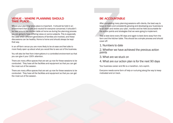### VENUE - WHERE PLANNING SHOULD TAKE PLACE:

**VENUE - WHERE<br>TAKE PLACE:**<br>Where your planning takes<br>environment that is safe as<br>be held around the kitcher<br>you are going to have different ge<br>discussions can be healthy<br>that way. Where your planning takes place is important. It should be held in an environment that is safe and neutral for everyone concerned. It shouldn't be held around the kitchen table at home as during the planning process you are going to have differing views on some subjects. This is especially the case when different generations of families are involved, and these discussions can be healthy. Home is home and should always be kept that way.

In an off-farm venue you are more likely to be at ease and feel able to more freely open up about what you would like to see out of the business.

You will also be free from interruptions in a controlled environment so that you can give it your 100% attention.

There are many office spaces that are set up now for these sessions to be conducted. They have all the facilities and equipment so that you can get the most out of the session.

There are many office spaces that are set up now for these sessions to be conducted. They have all the facilities and equipment so that you can get the most out of the session.

### BE ACCOUNTABLE

**BE ACCOUNTA**<br>After completing many<br>keep on track and con<br>to sit down and review<br>the action points and s<br>This is best done every<br>farm and the kitchen t<br>cover off: After completing many planning sessions with clients, the best way to keep on track and consistently growing and developing your business is to sit down and review your plan, monitor and be held accountable for the action points and strategies that we were going to implement.

This is best done every 90 days and again is best done away from the farm and the kitchen table. This should be a simple process and should cover off:

1. Numbers to date

2. Whether we have achieved the previous action points

3. What are we stuck on

4. What are our action plan is for the next 90 days

Your business career and life is a marathon, not a sprint.

Everyone needs some form of help or nurturing along the way to keep motivated and on track.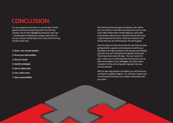## CONCLUSION:

It is very apparent that there is a current lack of both general and financial planning within the farming industry. As we have highlighted previously, there are 7 simple steps to setting and writing a plan that will set you and your family apart from many other farming families which are:-

- 1. Know your current position
- 2. Know your cash position
- 3. Set your Goals
- 4. Identify strategies
- 5. Set an action plan
- 6. Use a safe venue
- 7. Have accountability

We have found this through consultation with clients and non-clients in Taranaki and across the country, that if you follow these seven simple steps you will create and achieve a plan for your business that will stand you in good stead for the future, clarify your direction and ensure that you are all focusing on the same goals.

Over the years we have found that the way that you keep getting traction, growth and development within your business is through carrying on the process and building your plan into your business and regularly reviewing it. This is best done every 90 days. You can review the plan, make sure it is still important and that you can be kept accountable to your strategies and action plans. A solution for this is to bring planning back into your annual calendar.

With he planning process completed, you will know your numbers to a greater degree. You will have a better and more focused business, and a better relationship with your bank.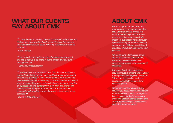### WHAT OUR CLIENTS SAY ABOUT CMK

*"I have thought a lot about how you both helped my business and I believe that you have stimulated me out of my comfort zone so that I addressed the vital issues within my business and wider life choices*

*–Grant Johnson "*

*" You helped us set targets and benchmarks for achievement and this taught us to be aware of all the areas within our farm management.*

 *–Sam and Michelle Radford "*

*" We have been in a partnership with CMK for close to 10 years now and in that time we have continued to grow our business with the help and guidance of John, Andrew and the team at CMK. We have always found them to be a very competent, friendly and helpful group of people. They are a business that cares about our operation on a professional and personal level. Both John and Andrew are openly available for a phone conversation or a visit and their knowledge and expertise is a valuable asset in the running of our business.*

*–Gareth & Abbie Edwards "*

## ABOUT CMK

We aim to get inside your head, and your business, to understand how they tick. Only then can we provide you with the best strategic advice, sound recommendations and support. We match our business sector and industry specialists with your business needs to ensure you benefit from their skills and expertise. We live, eat and breathe your business.

We are as hungry for success as you are. We work with owner/operators, executives, business leaders and entrepreneurs across a diverse range of industries.

Our team of dedicated consultants provide innovative systems and solutions to complement existing client processes. Tailored services can be developed in collaboration with clients to drive business growth.

We provide financial advice and the services you need, when you need them, so you can stay focused on what you do best. If you are starting a business, a seasoned business professional or have an entrepreneurial spirit, you require a dedicated business partner.